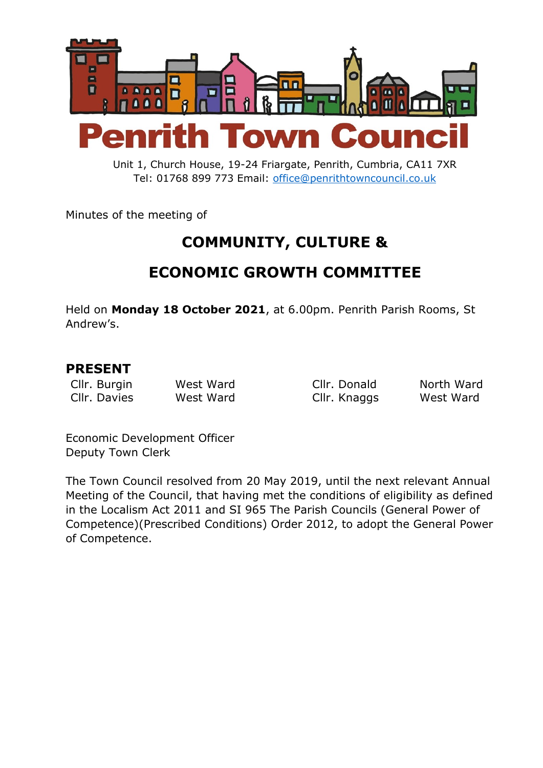

Unit 1, Church House, 19-24 Friargate, Penrith, Cumbria, CA11 7XR Tel: 01768 899 773 Email: [office@penrithtowncouncil.co.uk](mailto:office@penrithtowncouncil.co.uk)

Minutes of the meeting of

# **COMMUNITY, CULTURE &**

# **ECONOMIC GROWTH COMMITTEE**

Held on **Monday 18 October 2021**, at 6.00pm. Penrith Parish Rooms, St Andrew's.

#### **PRESENT**

Cllr. Burgin West Ward Cllr. Donald North Ward

Cllr. Davies West Ward Cllr. Knaggs West Ward

Economic Development Officer Deputy Town Clerk

The Town Council resolved from 20 May 2019, until the next relevant Annual Meeting of the Council, that having met the conditions of eligibility as defined in the Localism Act 2011 and SI 965 The Parish Councils (General Power of Competence)(Prescribed Conditions) Order 2012, to adopt the General Power of Competence.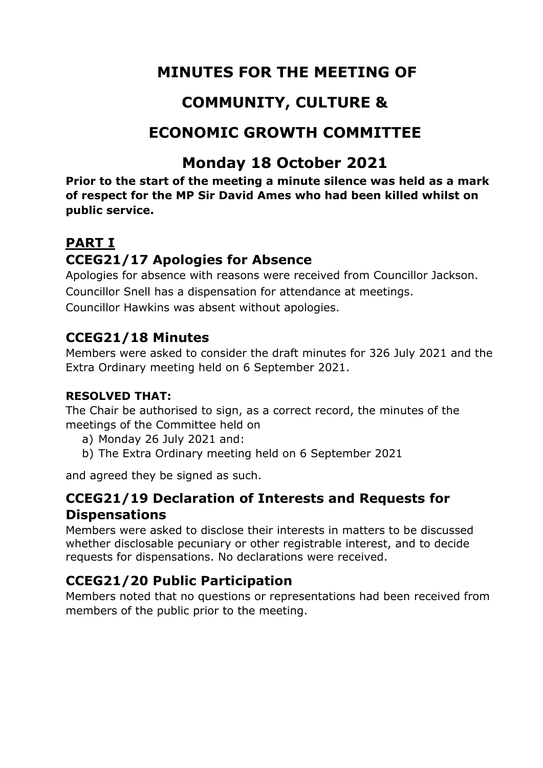# **MINUTES FOR THE MEETING OF**

# **COMMUNITY, CULTURE &**

# **ECONOMIC GROWTH COMMITTEE**

# **Monday 18 October 2021**

**Prior to the start of the meeting a minute silence was held as a mark of respect for the MP Sir David Ames who had been killed whilst on public service.**

## **PART I**

## **CCEG21/17 Apologies for Absence**

Apologies for absence with reasons were received from Councillor Jackson. Councillor Snell has a dispensation for attendance at meetings. Councillor Hawkins was absent without apologies.

## **CCEG21/18 Minutes**

Members were asked to consider the draft minutes for 326 July 2021 and the Extra Ordinary meeting held on 6 September 2021.

#### **RESOLVED THAT:**

The Chair be authorised to sign, as a correct record, the minutes of the meetings of the Committee held on

- a) Monday 26 July 2021 and:
- b) The Extra Ordinary meeting held on 6 September 2021

and agreed they be signed as such.

## **CCEG21/19 Declaration of Interests and Requests for Dispensations**

Members were asked to disclose their interests in matters to be discussed whether disclosable pecuniary or other registrable interest, and to decide requests for dispensations. No declarations were received.

## **CCEG21/20 Public Participation**

Members noted that no questions or representations had been received from members of the public prior to the meeting.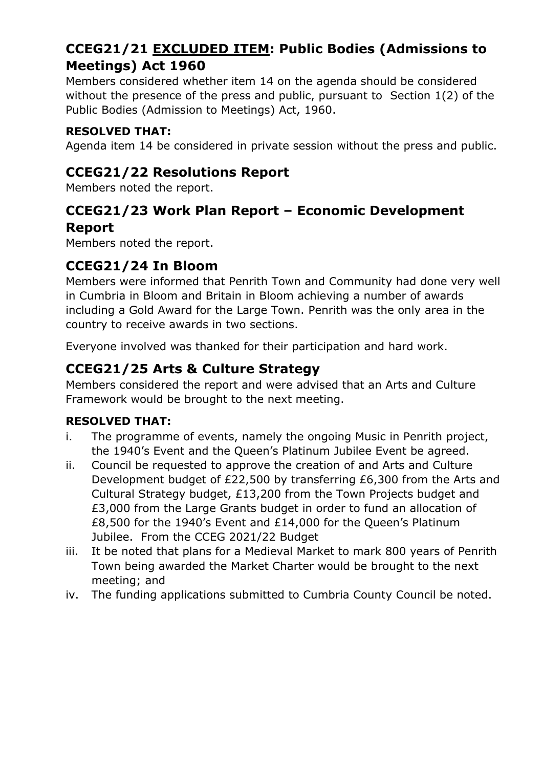## **CCEG21/21 EXCLUDED ITEM: Public Bodies (Admissions to Meetings) Act 1960**

Members considered whether item 14 on the agenda should be considered without the presence of the press and public, pursuant to Section 1(2) of the Public Bodies (Admission to Meetings) Act, 1960.

#### **RESOLVED THAT:**

Agenda item 14 be considered in private session without the press and public.

### **CCEG21/22 Resolutions Report**

Members noted the report.

### **CCEG21/23 Work Plan Report – Economic Development Report**

Members noted the report.

### **CCEG21/24 In Bloom**

Members were informed that Penrith Town and Community had done very well in Cumbria in Bloom and Britain in Bloom achieving a number of awards including a Gold Award for the Large Town. Penrith was the only area in the country to receive awards in two sections.

Everyone involved was thanked for their participation and hard work.

### **CCEG21/25 Arts & Culture Strategy**

Members considered the report and were advised that an Arts and Culture Framework would be brought to the next meeting.

#### **RESOLVED THAT:**

- i. The programme of events, namely the ongoing Music in Penrith project, the 1940's Event and the Queen's Platinum Jubilee Event be agreed.
- ii. Council be requested to approve the creation of and Arts and Culture Development budget of £22,500 by transferring £6,300 from the Arts and Cultural Strategy budget, £13,200 from the Town Projects budget and £3,000 from the Large Grants budget in order to fund an allocation of £8,500 for the 1940's Event and £14,000 for the Queen's Platinum Jubilee. From the CCEG 2021/22 Budget
- iii. It be noted that plans for a Medieval Market to mark 800 years of Penrith Town being awarded the Market Charter would be brought to the next meeting; and
- iv. The funding applications submitted to Cumbria County Council be noted.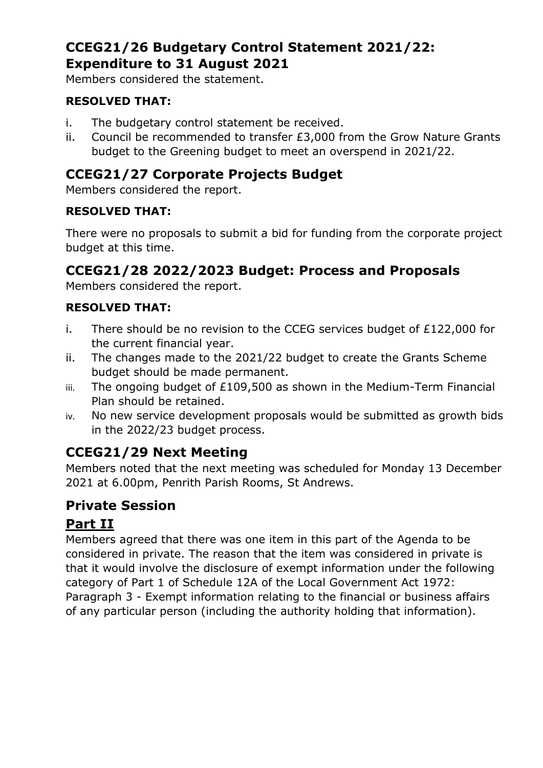## **CCEG21/26 Budgetary Control Statement 2021/22: Expenditure to 31 August 2021**

Members considered the statement.

#### **RESOLVED THAT:**

- i. The budgetary control statement be received.
- ii. Council be recommended to transfer £3,000 from the Grow Nature Grants budget to the Greening budget to meet an overspend in 2021/22.

### **CCEG21/27 Corporate Projects Budget**

Members considered the report.

#### **RESOLVED THAT:**

There were no proposals to submit a bid for funding from the corporate project budget at this time.

### **CCEG21/28 2022/2023 Budget: Process and Proposals**

Members considered the report.

#### **RESOLVED THAT:**

- i. There should be no revision to the CCEG services budget of £122,000 for the current financial year.
- ii. The changes made to the 2021/22 budget to create the Grants Scheme budget should be made permanent.
- iii. The ongoing budget of £109,500 as shown in the Medium-Term Financial Plan should be retained.
- iv. No new service development proposals would be submitted as growth bids in the 2022/23 budget process.

## **CCEG21/29 Next Meeting**

Members noted that the next meeting was scheduled for Monday 13 December 2021 at 6.00pm, Penrith Parish Rooms, St Andrews.

## **Private Session**

## **Part II**

Members agreed that there was one item in this part of the Agenda to be considered in private. The reason that the item was considered in private is that it would involve the disclosure of exempt information under the following category of Part 1 of Schedule 12A of the Local Government Act 1972: Paragraph 3 - Exempt information relating to the financial or business affairs of any particular person (including the authority holding that information).